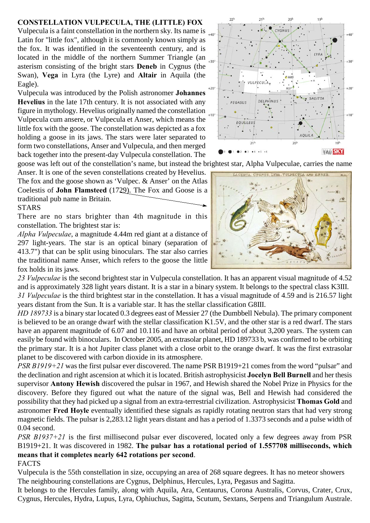## **CONSTELLATION VULPECULA, THE (LITTLE) FOX**

Vulpecula is a faint constellation in the northern sky. Its name is  $\mu_{\text{max}}$ Latin for "little fox", although it is commonly known simply as the fox. It was identified in the seventeenth century, and is located in the middle of the northern Summer Triangle (an asterism consisting of the bright stars **Deneb** in Cygnus (the Swan), **Vega** in Lyra (the Lyre) and **Altair** in Aquila (the Eagle).

Vulpecula was introduced by the Polish astronomer **Johannes Hevelius** in the late 17th century. It is not associated with any figure in mythology. Hevelius originally named the constellation  $_{*10^{\circ}}$ Vulpecula cum ansere, or Vulpecula et Anser, which means the little fox with the goose. The constellation was depicted as a fox holding a goose in its jaws. The stars were later separated to form two constellations, Anser and Vulpecula, and then merged back together into the present-day Vulpecula constellation. The

goose was left out of the constellation's name, but instead the brightest star, Alpha Vulpeculae, carries the name

Anser. It is one of the seven constellations created by Hevelius. The fox and the goose shown as 'Vulpec. & Anser' on the Atlas Coelestis of **John Flamsteed** (1729). The Fox and Goose is a traditional pub name in Britain.

## **STARS**

There are no stars brighter than 4th magnitude in this constellation. The brightest star is:

*Alpha Vulpeculae*, a magnitude 4.44m red giant at a distance of 297 light-years. The star is an optical binary (separation of 413.7") that can be split using binoculars. The star also carries the traditional name Anser, which refers to the goose the little fox holds in its jaws.

*23 Vulpeculae* is the second brightest star in Vulpecula constellation. It has an apparent visual magnitude of 4.52 and is approximately 328 light years distant. It is a star in a binary system. It belongs to the spectral class K3III. *31 Vulpeculae* is the third brightest star in the constellation. It has a visual magnitude of 4.59 and is 216.57 light years distant from the Sun. It is a variable star. It has the stellar classification G8III.

*HD 189733* is a binary star located 0.3 degrees east of Messier 27 (the Dumbbell Nebula). The primary component is believed to be an orange dwarf with the stellar classification K1.5V, and the other star is a red dwarf. The stars have an apparent magnitude of 6.07 and 10.116 and have an orbital period of about 3,200 years. The system can easily be found with binoculars. In October 2005, an extrasolar planet, HD 189733 b, was confirmed to be orbiting the primary star. It is a hot Jupiter class planet with a close orbit to the orange dwarf. It was the first extrasolar planet to be discovered with carbon dioxide in its atmosphere.

*PSR B1919+21* was the first pulsar ever discovered. The name PSR B1919+21 comes from the word "pulsar" and the declination and right ascension at which it is located. British astrophysicist **Jocelyn Bell Burnell** and her thesis supervisor **Antony Hewish** discovered the pulsar in 1967, and Hewish shared the Nobel Prize in Physics for the discovery. Before they figured out what the nature of the signal was, Bell and Hewish had considered the possibility that they had picked up a signal from an extra-terrestrial civilization. Astrophysicist **Thomas Gold** and astronomer **Fred Hoyle** eventually identified these signals as rapidly rotating neutron stars that had very strong magnetic fields. The pulsar is 2,283.12 light years distant and has a period of 1.3373 seconds and a pulse width of 0.04 second.

*PSR B1937+21* is the first millisecond pulsar ever discovered, located only a few degrees away from PSR B1919+21. It was discovered in 1982. **The pulsar has a rotational period of 1.557708 milliseconds, which means that it completes nearly 642 rotations per second**. FACTS

Vulpecula is the 55th constellation in size, occupying an area of 268 square degrees. It has no meteor showers The neighbouring constellations are Cygnus, Delphinus, Hercules, Lyra, Pegasus and Sagitta.

It belongs to the Hercules family, along with Aquila, Ara, Centaurus, Corona Australis, Corvus, Crater, Crux, Cygnus, Hercules, Hydra, Lupus, Lyra, Ophiuchus, Sagitta, Scutum, Sextans, Serpens and Triangulum Australe.